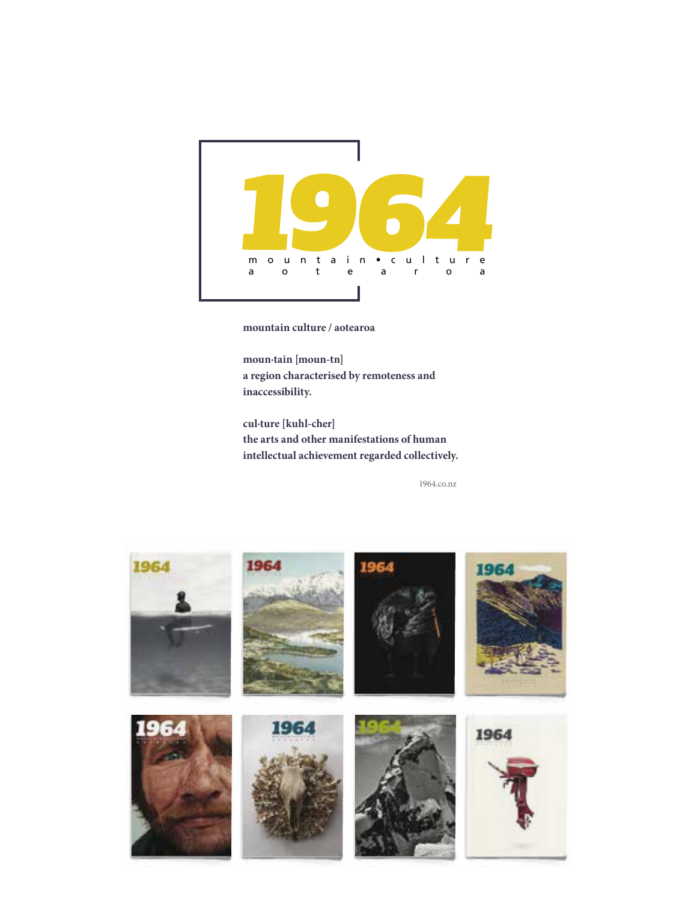

**mountain culture / aotearoa**

**moun·tain [moun-tn] a region characterised by remoteness and inaccessibility.**

**cul·ture [kuhl-cher] the arts and other manifestations of human intellectual achievement regarded collectively.**

1964.co.nz

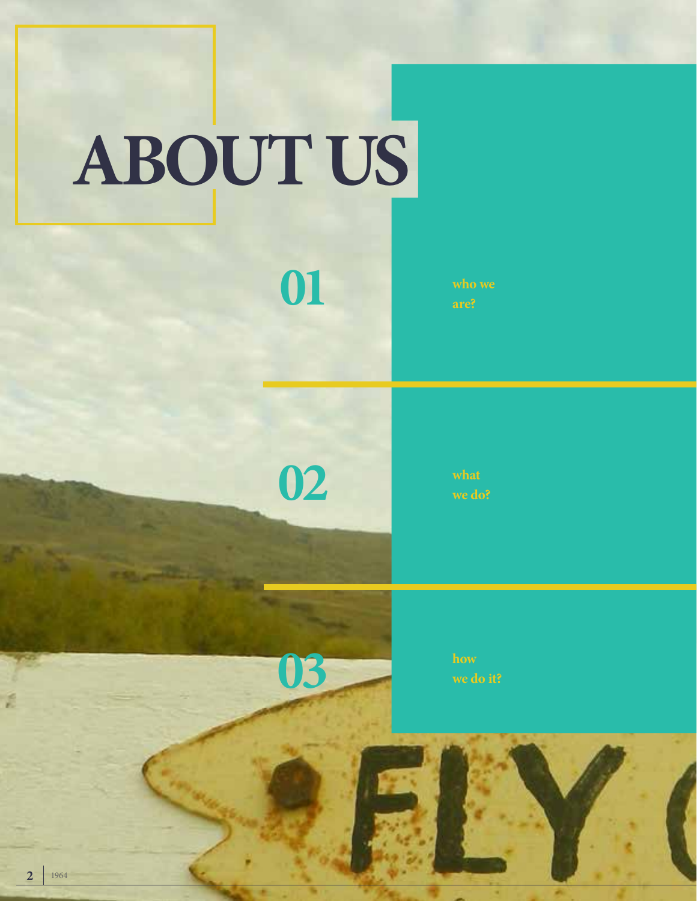# **ABOUT US**

**are?**

**02**

**01**



**how**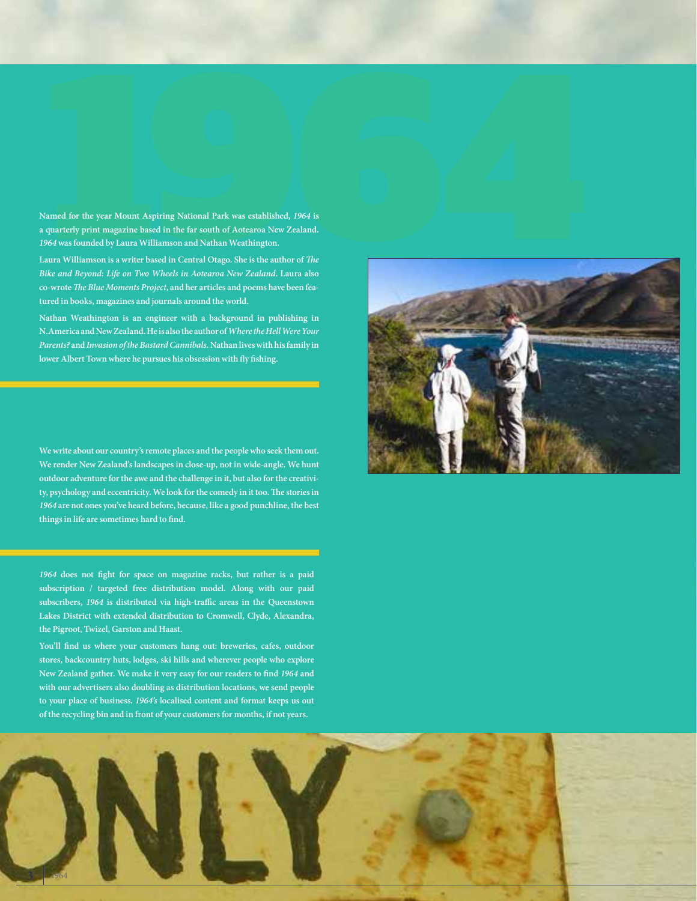**Named for the year Mount Aspiring National Park was established, 1964***1* **is a particly print magazine based in the far south of Aotecrao New Zealand.<br>A quarterly print magazine based in the far south of Aotecrao New Zeala a quarterly print magazine based in the far south of Aotearoa New Zealand.**  *1964* **was founded by Laura Williamson and Nathan Weathington.**

**Laura Williamson is a writer based in Central Otago. She is the author of** *The Bike and Beyond: Life on Two Wheels in Aotearoa New Zealand***. Laura also co-wrote** *The Blue Moments Project***, and her articles and poems have been featured in books, magazines and journals around the world.** 

**Nathan Weathington is an engineer with a background in publishing in N.America and New Zealand. He is also the author of** *Where the Hell Were Your Parents?* **and** *Invasion of the Bastard Cannibals***. Nathan lives with his family in lower Albert Town where he pursues his obsession with fly fishing.**

**We write about our country's remote places and the people who seek them out. We render New Zealand's landscapes in close-up, not in wide-angle. We hunt outdoor adventure for the awe and the challenge in it, but also for the creativity, psychology and eccentricity. We look for the comedy in it too. The stories in**  *1964* **are not ones you've heard before, because, like a good punchline, the best things in life are sometimes hard to find.**

*1964* **does not fight for space on magazine racks, but rather is a paid subscription / targeted free distribution model. Along with our paid subscribers,** *1964* **is distributed via high-traffic areas in the Queenstown Lakes District with extended distribution to Cromwell, Clyde, Alexandra, the Pigroot, Twizel, Garston and Haast.** 

**You'll find us where your customers hang out: breweries, cafes, outdoor stores, backcountry huts, lodges, ski hills and wherever people who explore New Zealand gather. We make it very easy for our readers to find** *1964* **and with our advertisers also doubling as distribution locations, we send people to your place of business.** *1964's* **localised content and format keeps us out of the recycling bin and in front of your customers for months, if not years.**



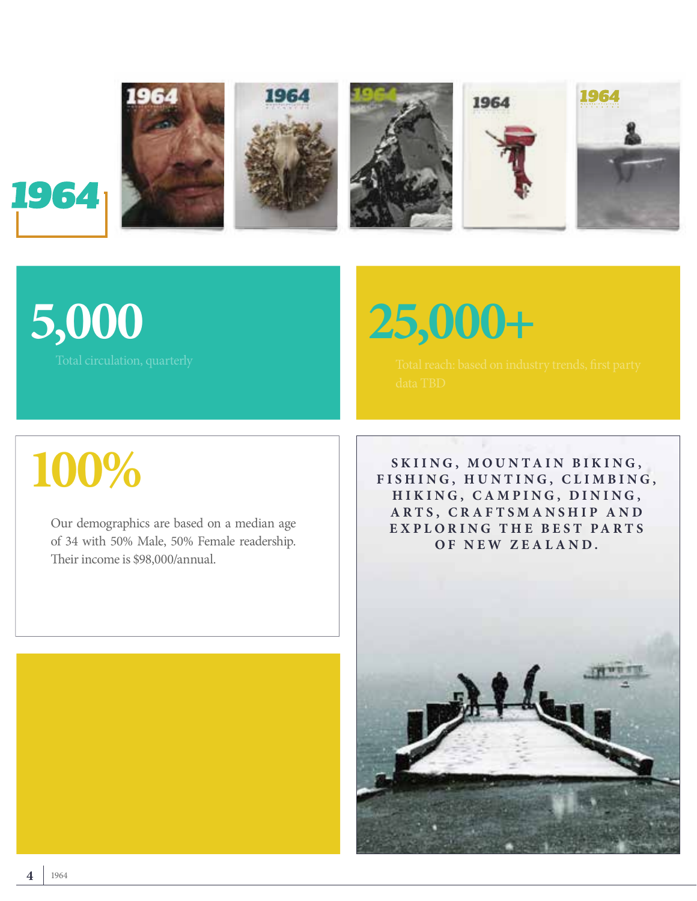

### **5,000**

**25,000+**

Total circulation, quarterly Total reach: Total reach: based on industry trends, first party

### **100%**

Our demographics are based on a median age of 34 with 50% Male, 50% Female readership. Their income is \$98,000/annual.

SKIING, MOUNTAIN BIKING, FISHING, HUNTING, CLIMBING, **H I K I N G , C A M P I N G , D I N I N G ,**  ARTS, CRAFTSMANSHIP AND **E X P L O R I N G T H E B E S T P A R T S**  OF NEW ZEALAND.

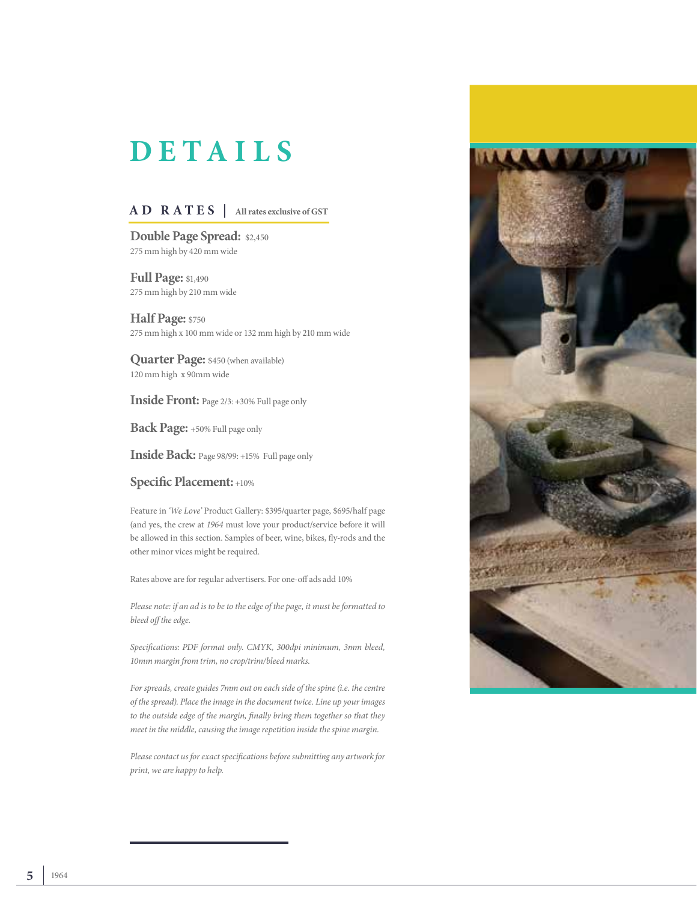### **DETAILS**

#### **AD RATES | All rates exclusive of GST**

**Double Page Spread:** \$2,450 275 mm high by 420 mm wide

**Full Page: \$1,490** 275 mm high by 210 mm wide

**Half Page:** \$750 275 mm high x 100 mm wide or 132 mm high by 210 mm wide

**Quarter Page:** \$450 (when available) 120 mm high x 90mm wide

**Inside Front:** Page 2/3: +30% Full page only

**Back Page:** +50% Full page only

**Inside Back:** Page 98/99: +15% Full page only

#### **Specific Placement:** +10%

Feature in *'We Love'* Product Gallery: \$395/quarter page, \$695/half page (and yes, the crew at *1964* must love your product/service before it will be allowed in this section. Samples of beer, wine, bikes, fly-rods and the other minor vices might be required.

Rates above are for regular advertisers. For one-off ads add 10%

*Please note: if an ad is to be to the edge of the page, it must be formatted to bleed off the edge.* 

*Specifications: PDF format only. CMYK, 300dpi minimum, 3mm bleed, 10mm margin from trim, no crop/trim/bleed marks.* 

*For spreads, create guides 7mm out on each side of the spine (i.e. the centre of the spread). Place the image in the document twice. Line up your images to the outside edge of the margin, finally bring them together so that they meet in the middle, causing the image repetition inside the spine margin.*

*Please contact us for exact specifications before submitting any artwork for print, we are happy to help.* 

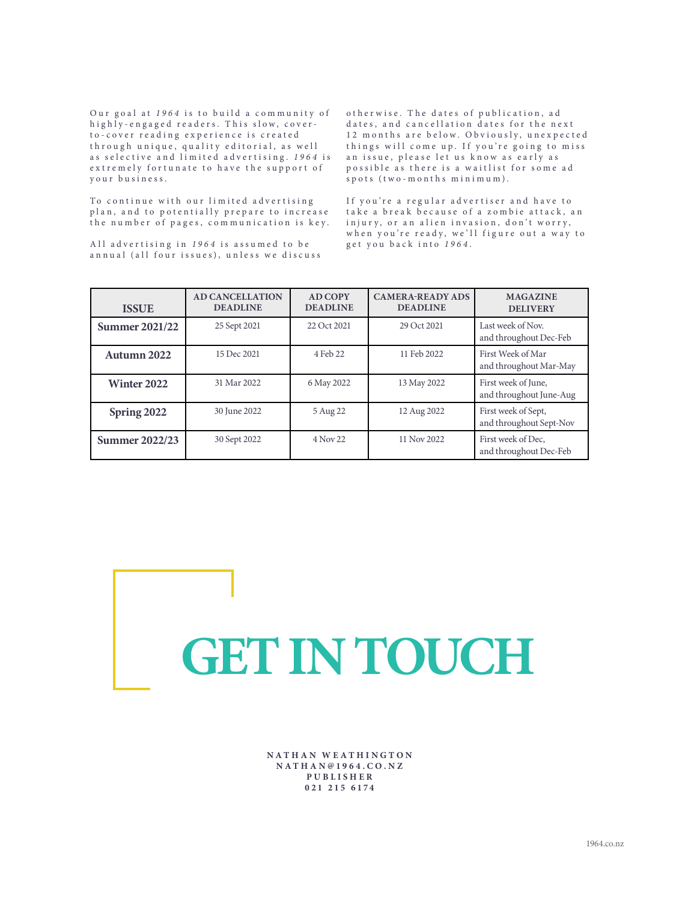Our goal at 1964 is to build a community of highly-engaged readers. This slow, coverto-cover reading experience is created through unique, quality editorial, as well as selective and limited advertising. 1964 is extremely fortunate to have the support of your business.

o therwise. The dates of publication, ad dates, and cancellation dates for the next 12 m on ths are below. Obviously, unexpected things will come up. If you're going to miss an issue, please let us know as early as p o s sible as there is a waitlist for some ad spots (two-months minimum).

To continue with our limited advertising plan, and to potentially prepare to increase the number of pages, communication is key.

All advertising in 1964 is assumed to be annual (all four issues), unless we discuss If you're a regular advertiser and have to take a break because of a zombie attack, an injury, or an alien invasion, don't worry, when you're ready, we'll figure out a way to get you back into *1964* .

| <b>ISSUE</b>          | <b>AD CANCELLATION</b><br><b>DEADLINE</b> | <b>AD COPY</b><br><b>DEADLINE</b> | <b>CAMERA-READY ADS</b><br><b>DEADLINE</b> | <b>MAGAZINE</b><br><b>DELIVERY</b>             |
|-----------------------|-------------------------------------------|-----------------------------------|--------------------------------------------|------------------------------------------------|
| <b>Summer 2021/22</b> | 25 Sept 2021                              | 22 Oct 2021                       | 29 Oct 2021                                | Last week of Nov.<br>and throughout Dec-Feb    |
| Autumn 2022           | 15 Dec 2021                               | 4 Feb 22                          | 11 Feb 2022                                | First Week of Mar<br>and throughout Mar-May    |
| <b>Winter 2022</b>    | 31 Mar 2022                               | 6 May 2022                        | 13 May 2022                                | First week of June,<br>and throughout June-Aug |
| Spring 2022           | 30 June 2022                              | 5 Aug 22                          | 12 Aug 2022                                | First week of Sept,<br>and throughout Sept-Nov |
| <b>Summer 2022/23</b> | 30 Sept 2022                              | 4 Nov 22                          | 11 Nov 2022                                | First week of Dec.<br>and throughout Dec-Feb   |

## **GET IN TOUCH**

**NATHAN WEATHINGTON N A T H A N @ 1 9 6 4 . C O . N Z PUBLISHER 021 215 6174**